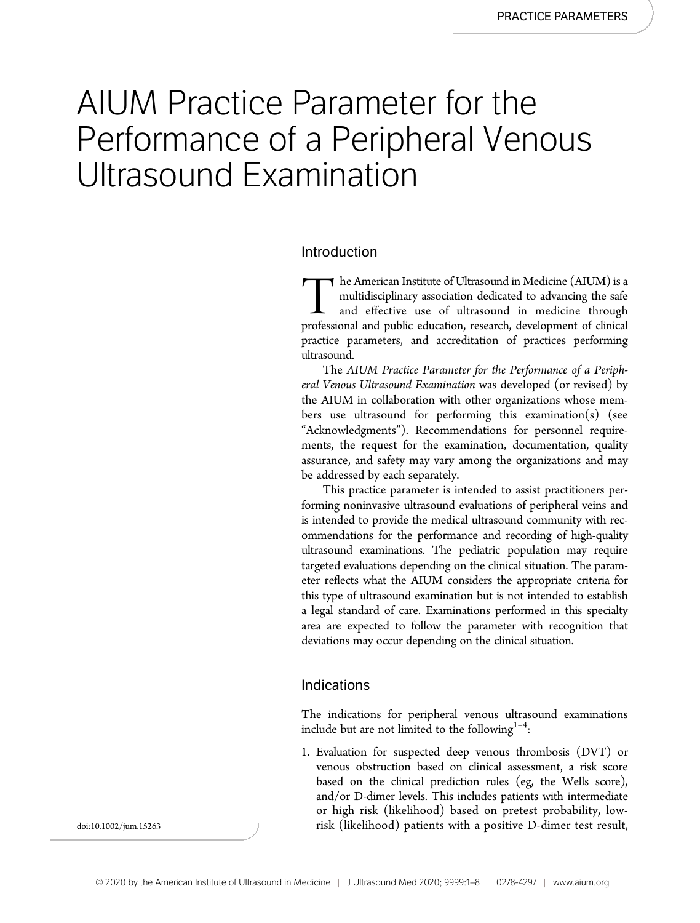# AIUM Practice Parameter for the Performance of a Peripheral Venous Ultrasound Examination

#### Introduction

The American Institute of Ultrasound in Medicine (AIUM) is a multidisciplinary association dedicated to advancing the safe and effective use of ultrasound in medicine through professional and public education, research, de multidisciplinary association dedicated to advancing the safe and effective use of ultrasound in medicine through professional and public education, research, development of clinical practice parameters, and accreditation of practices performing ultrasound.

The AIUM Practice Parameter for the Performance of a Peripheral Venous Ultrasound Examination was developed (or revised) by the AIUM in collaboration with other organizations whose members use ultrasound for performing this examination(s) (see "Acknowledgments"). Recommendations for personnel requirements, the request for the examination, documentation, quality assurance, and safety may vary among the organizations and may be addressed by each separately.

This practice parameter is intended to assist practitioners performing noninvasive ultrasound evaluations of peripheral veins and is intended to provide the medical ultrasound community with recommendations for the performance and recording of high-quality ultrasound examinations. The pediatric population may require targeted evaluations depending on the clinical situation. The parameter reflects what the AIUM considers the appropriate criteria for this type of ultrasound examination but is not intended to establish a legal standard of care. Examinations performed in this specialty area are expected to follow the parameter with recognition that deviations may occur depending on the clinical situation.

#### Indications

The indications for peripheral venous ultrasound examinations include but are not limited to the following $1-4$ :

1. Evaluation for suspected deep venous thrombosis (DVT) or venous obstruction based on clinical assessment, a risk score based on the clinical prediction rules (eg, the Wells score), and/or D-dimer levels. This includes patients with intermediate or high risk (likelihood) based on pretest probability, lowdoi:10.1002/jum.15263 risk (likelihood) patients with a positive D-dimer test result,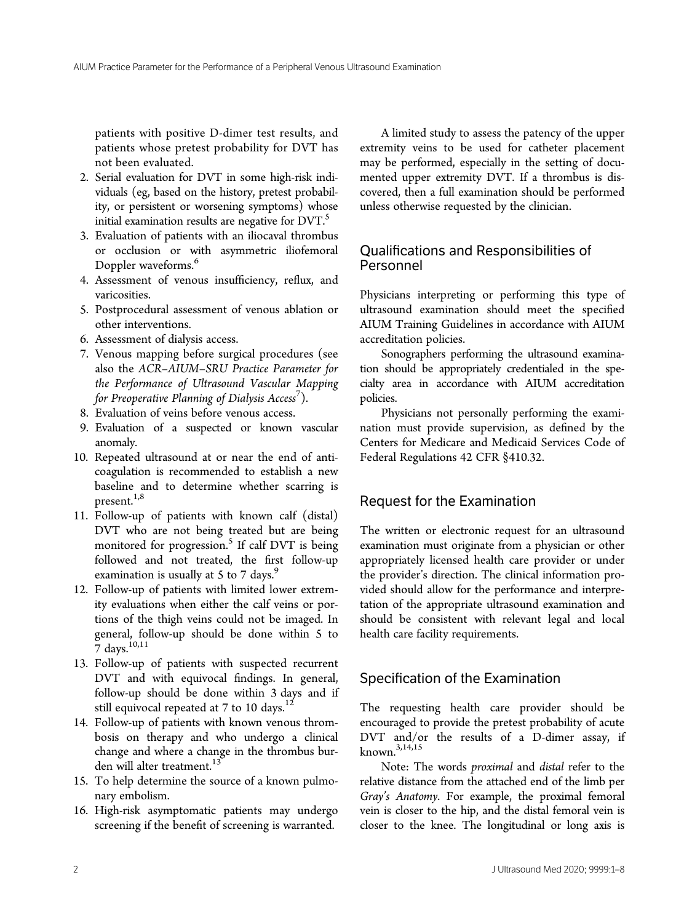patients with positive D-dimer test results, and patients whose pretest probability for DVT has not been evaluated.

- 2. Serial evaluation for DVT in some high-risk individuals (eg, based on the history, pretest probability, or persistent or worsening symptoms) whose initial examination results are negative for  $DVT$ .
- 3. Evaluation of patients with an iliocaval thrombus or occlusion or with asymmetric iliofemoral Doppler waveforms.<sup>6</sup>
- 4. Assessment of venous insufficiency, reflux, and varicosities.
- 5. Postprocedural assessment of venous ablation or other interventions.
- 6. Assessment of dialysis access.
- 7. Venous mapping before surgical procedures (see also the ACR–AIUM–SRU Practice Parameter for the Performance of Ultrasound Vascular Mapping for Preoperative Planning of Dialysis Access<sup>7</sup>).
- 8. Evaluation of veins before venous access.
- 9. Evaluation of a suspected or known vascular anomaly.
- 10. Repeated ultrasound at or near the end of anticoagulation is recommended to establish a new baseline and to determine whether scarring is present. $1,8$
- 11. Follow-up of patients with known calf (distal) DVT who are not being treated but are being monitored for progression.<sup>5</sup> If calf DVT is being followed and not treated, the first follow-up examination is usually at 5 to 7 days. $9$
- 12. Follow-up of patients with limited lower extremity evaluations when either the calf veins or portions of the thigh veins could not be imaged. In general, follow-up should be done within 5 to 7 days. $^{10,11}$
- 13. Follow-up of patients with suspected recurrent DVT and with equivocal findings. In general, follow-up should be done within 3 days and if still equivocal repeated at  $7$  to  $10 \text{ days.}^{12}$
- 14. Follow-up of patients with known venous thrombosis on therapy and who undergo a clinical change and where a change in the thrombus burden will alter treatment.<sup>13</sup>
- 15. To help determine the source of a known pulmonary embolism.
- 16. High-risk asymptomatic patients may undergo screening if the benefit of screening is warranted.

A limited study to assess the patency of the upper extremity veins to be used for catheter placement may be performed, especially in the setting of documented upper extremity DVT. If a thrombus is discovered, then a full examination should be performed unless otherwise requested by the clinician.

### Qualifications and Responsibilities of Personnel

Physicians interpreting or performing this type of ultrasound examination should meet the specified AIUM Training Guidelines in accordance with AIUM accreditation policies.

Sonographers performing the ultrasound examination should be appropriately credentialed in the specialty area in accordance with AIUM accreditation policies.

Physicians not personally performing the examination must provide supervision, as defined by the Centers for Medicare and Medicaid Services Code of Federal Regulations 42 CFR §410.32.

## Request for the Examination

The written or electronic request for an ultrasound examination must originate from a physician or other appropriately licensed health care provider or under the provider's direction. The clinical information provided should allow for the performance and interpretation of the appropriate ultrasound examination and should be consistent with relevant legal and local health care facility requirements.

# Specification of the Examination

The requesting health care provider should be encouraged to provide the pretest probability of acute DVT and/or the results of a D-dimer assay, if known.3,14,15

Note: The words proximal and distal refer to the relative distance from the attached end of the limb per Gray's Anatomy. For example, the proximal femoral vein is closer to the hip, and the distal femoral vein is closer to the knee. The longitudinal or long axis is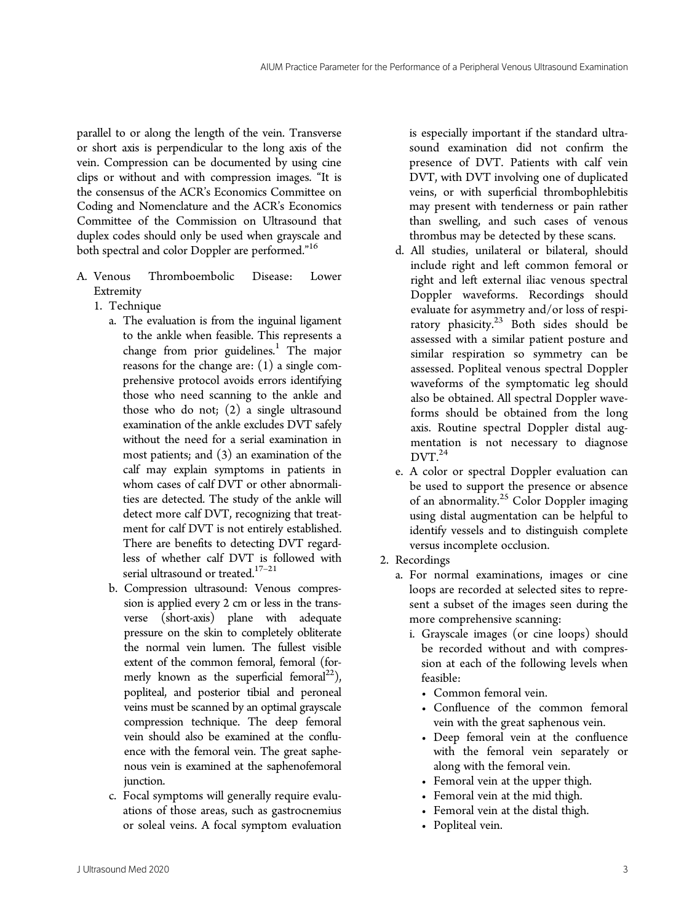parallel to or along the length of the vein. Transverse or short axis is perpendicular to the long axis of the vein. Compression can be documented by using cine clips or without and with compression images. "It is the consensus of the ACR's Economics Committee on Coding and Nomenclature and the ACR's Economics Committee of the Commission on Ultrasound that duplex codes should only be used when grayscale and both spectral and color Doppler are performed." 16

- A. Venous Thromboembolic Disease: Lower Extremity
	- 1. Technique
		- a. The evaluation is from the inguinal ligament to the ankle when feasible. This represents a change from prior guidelines. $<sup>1</sup>$  The major</sup> reasons for the change are: (1) a single comprehensive protocol avoids errors identifying those who need scanning to the ankle and those who do not; (2) a single ultrasound examination of the ankle excludes DVT safely without the need for a serial examination in most patients; and (3) an examination of the calf may explain symptoms in patients in whom cases of calf DVT or other abnormalities are detected. The study of the ankle will detect more calf DVT, recognizing that treatment for calf DVT is not entirely established. There are benefits to detecting DVT regardless of whether calf DVT is followed with serial ultrasound or treated.  $\real^{17-21}$
		- b. Compression ultrasound: Venous compression is applied every 2 cm or less in the transverse (short-axis) plane with adequate pressure on the skin to completely obliterate the normal vein lumen. The fullest visible extent of the common femoral, femoral (formerly known as the superficial femoral<sup>22</sup>), popliteal, and posterior tibial and peroneal veins must be scanned by an optimal grayscale compression technique. The deep femoral vein should also be examined at the confluence with the femoral vein. The great saphenous vein is examined at the saphenofemoral junction.
		- c. Focal symptoms will generally require evaluations of those areas, such as gastrocnemius or soleal veins. A focal symptom evaluation

is especially important if the standard ultrasound examination did not confirm the presence of DVT. Patients with calf vein DVT, with DVT involving one of duplicated veins, or with superficial thrombophlebitis may present with tenderness or pain rather than swelling, and such cases of venous thrombus may be detected by these scans.

- d. All studies, unilateral or bilateral, should include right and left common femoral or right and left external iliac venous spectral Doppler waveforms. Recordings should evaluate for asymmetry and/or loss of respiratory phasicity. $23$  Both sides should be assessed with a similar patient posture and similar respiration so symmetry can be assessed. Popliteal venous spectral Doppler waveforms of the symptomatic leg should also be obtained. All spectral Doppler waveforms should be obtained from the long axis. Routine spectral Doppler distal augmentation is not necessary to diagnose  $DVT<sup>24</sup>$
- e. A color or spectral Doppler evaluation can be used to support the presence or absence of an abnormality.<sup>25</sup> Color Doppler imaging using distal augmentation can be helpful to identify vessels and to distinguish complete versus incomplete occlusion.
- 2. Recordings
	- a. For normal examinations, images or cine loops are recorded at selected sites to represent a subset of the images seen during the more comprehensive scanning:
		- i. Grayscale images (or cine loops) should be recorded without and with compression at each of the following levels when feasible:
			- Common femoral vein.
			- Confluence of the common femoral vein with the great saphenous vein.
			- Deep femoral vein at the confluence with the femoral vein separately or along with the femoral vein.
			- Femoral vein at the upper thigh.
			- Femoral vein at the mid thigh.
			- Femoral vein at the distal thigh.
			- Popliteal vein.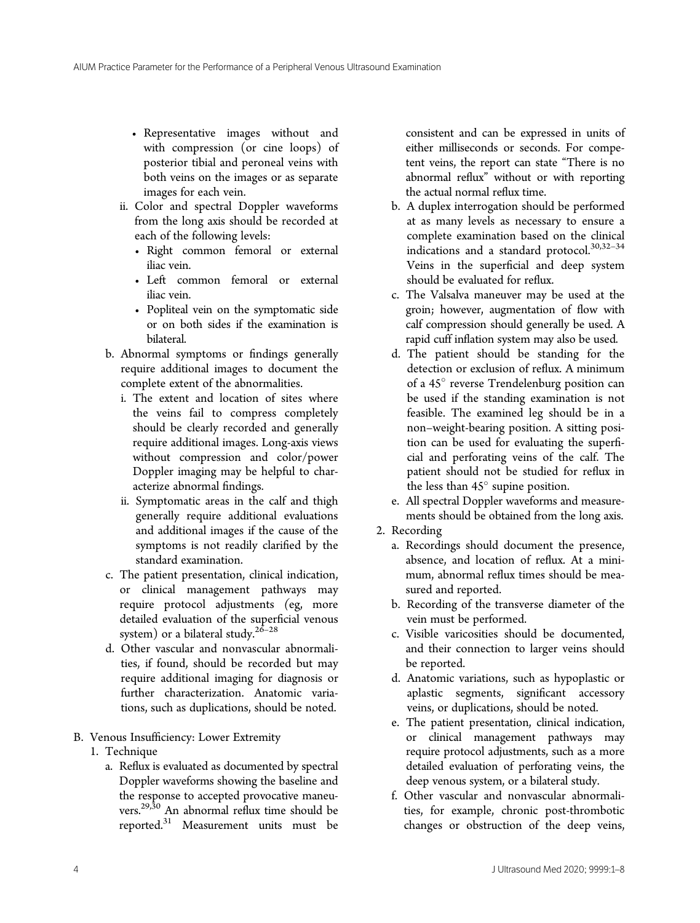- Representative images without and with compression (or cine loops) of posterior tibial and peroneal veins with both veins on the images or as separate images for each vein.
- ii. Color and spectral Doppler waveforms from the long axis should be recorded at each of the following levels:
	- Right common femoral or external iliac vein.
	- Left common femoral or external iliac vein.
	- Popliteal vein on the symptomatic side or on both sides if the examination is bilateral.
- b. Abnormal symptoms or findings generally require additional images to document the complete extent of the abnormalities.
	- i. The extent and location of sites where the veins fail to compress completely should be clearly recorded and generally require additional images. Long-axis views without compression and color/power Doppler imaging may be helpful to characterize abnormal findings.
	- ii. Symptomatic areas in the calf and thigh generally require additional evaluations and additional images if the cause of the symptoms is not readily clarified by the standard examination.
- c. The patient presentation, clinical indication, or clinical management pathways may require protocol adjustments (eg, more detailed evaluation of the superficial venous system) or a bilateral study.<sup>26-28</sup>
- d. Other vascular and nonvascular abnormalities, if found, should be recorded but may require additional imaging for diagnosis or further characterization. Anatomic variations, such as duplications, should be noted.
- B. Venous Insufficiency: Lower Extremity
	- 1. Technique
		- a. Reflux is evaluated as documented by spectral Doppler waveforms showing the baseline and the response to accepted provocative maneuvers.29,30 An abnormal reflux time should be reported.31 Measurement units must be

consistent and can be expressed in units of either milliseconds or seconds. For competent veins, the report can state "There is no abnormal reflux" without or with reporting the actual normal reflux time.

- b. A duplex interrogation should be performed at as many levels as necessary to ensure a complete examination based on the clinical indications and a standard protocol.<sup>30,32-34</sup> Veins in the superficial and deep system should be evaluated for reflux.
- c. The Valsalva maneuver may be used at the groin; however, augmentation of flow with calf compression should generally be used. A rapid cuff inflation system may also be used.
- d. The patient should be standing for the detection or exclusion of reflux. A minimum of a 45° reverse Trendelenburg position can be used if the standing examination is not feasible. The examined leg should be in a non–weight-bearing position. A sitting position can be used for evaluating the superficial and perforating veins of the calf. The patient should not be studied for reflux in the less than  $45^\circ$  supine position.
- e. All spectral Doppler waveforms and measurements should be obtained from the long axis.
- 2. Recording
	- a. Recordings should document the presence, absence, and location of reflux. At a minimum, abnormal reflux times should be measured and reported.
	- b. Recording of the transverse diameter of the vein must be performed.
	- c. Visible varicosities should be documented, and their connection to larger veins should be reported.
	- d. Anatomic variations, such as hypoplastic or aplastic segments, significant accessory veins, or duplications, should be noted.
	- e. The patient presentation, clinical indication, or clinical management pathways may require protocol adjustments, such as a more detailed evaluation of perforating veins, the deep venous system, or a bilateral study.
	- f. Other vascular and nonvascular abnormalities, for example, chronic post-thrombotic changes or obstruction of the deep veins,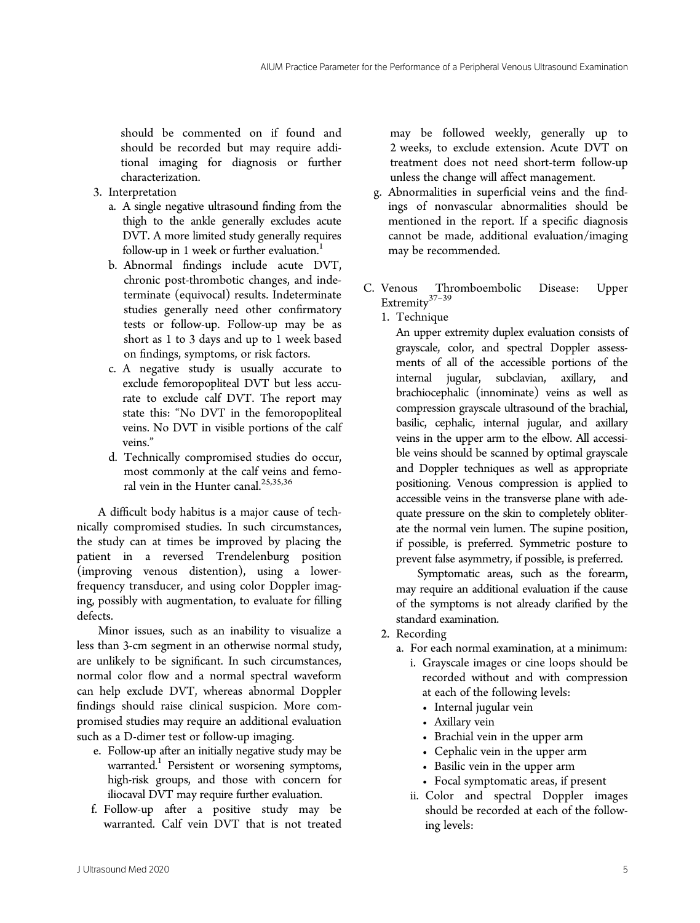should be commented on if found and should be recorded but may require additional imaging for diagnosis or further characterization.

- 3. Interpretation
	- a. A single negative ultrasound finding from the thigh to the ankle generally excludes acute DVT. A more limited study generally requires follow-up in 1 week or further evaluation. $<sup>1</sup>$ </sup>
	- b. Abnormal findings include acute DVT, chronic post-thrombotic changes, and indeterminate (equivocal) results. Indeterminate studies generally need other confirmatory tests or follow-up. Follow-up may be as short as 1 to 3 days and up to 1 week based on findings, symptoms, or risk factors.
	- c. A negative study is usually accurate to exclude femoropopliteal DVT but less accurate to exclude calf DVT. The report may state this: "No DVT in the femoropopliteal veins. No DVT in visible portions of the calf veins."
	- d. Technically compromised studies do occur, most commonly at the calf veins and femoral vein in the Hunter canal.<sup>25,35,36</sup>

A difficult body habitus is a major cause of technically compromised studies. In such circumstances, the study can at times be improved by placing the patient in a reversed Trendelenburg position (improving venous distention), using a lowerfrequency transducer, and using color Doppler imaging, possibly with augmentation, to evaluate for filling defects.

Minor issues, such as an inability to visualize a less than 3-cm segment in an otherwise normal study, are unlikely to be significant. In such circumstances, normal color flow and a normal spectral waveform can help exclude DVT, whereas abnormal Doppler findings should raise clinical suspicion. More compromised studies may require an additional evaluation such as a D-dimer test or follow-up imaging.

- e. Follow-up after an initially negative study may be warranted.<sup>1</sup> Persistent or worsening symptoms, high-risk groups, and those with concern for iliocaval DVT may require further evaluation.
- f. Follow-up after a positive study may be warranted. Calf vein DVT that is not treated

may be followed weekly, generally up to 2 weeks, to exclude extension. Acute DVT on treatment does not need short-term follow-up unless the change will affect management.

- g. Abnormalities in superficial veins and the findings of nonvascular abnormalities should be mentioned in the report. If a specific diagnosis cannot be made, additional evaluation/imaging may be recommended.
- C. Venous Thromboembolic Disease: Upper Extremity<sup>37–39</sup>
	- 1. Technique

An upper extremity duplex evaluation consists of grayscale, color, and spectral Doppler assessments of all of the accessible portions of the internal jugular, subclavian, axillary, and brachiocephalic (innominate) veins as well as compression grayscale ultrasound of the brachial, basilic, cephalic, internal jugular, and axillary veins in the upper arm to the elbow. All accessible veins should be scanned by optimal grayscale and Doppler techniques as well as appropriate positioning. Venous compression is applied to accessible veins in the transverse plane with adequate pressure on the skin to completely obliterate the normal vein lumen. The supine position, if possible, is preferred. Symmetric posture to prevent false asymmetry, if possible, is preferred.

Symptomatic areas, such as the forearm, may require an additional evaluation if the cause of the symptoms is not already clarified by the standard examination.

- 2. Recording
	- a. For each normal examination, at a minimum:
		- i. Grayscale images or cine loops should be recorded without and with compression at each of the following levels:
			- Internal jugular vein
			- Axillary vein
			- Brachial vein in the upper arm
			- Cephalic vein in the upper arm
			- Basilic vein in the upper arm
			- Focal symptomatic areas, if present
		- ii. Color and spectral Doppler images should be recorded at each of the following levels: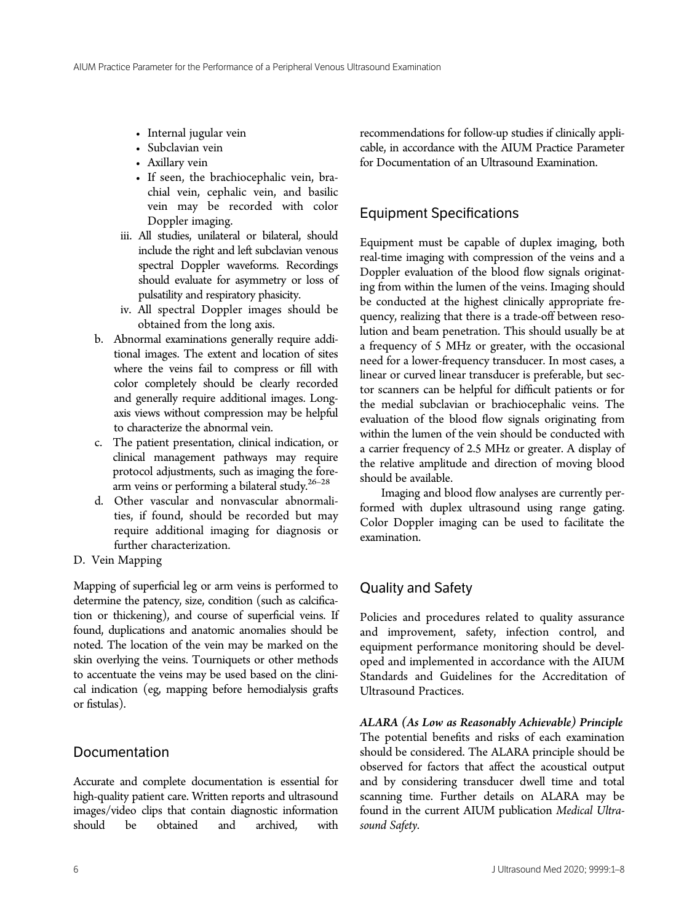- Internal jugular vein
- Subclavian vein
- Axillary vein
- If seen, the brachiocephalic vein, brachial vein, cephalic vein, and basilic vein may be recorded with color Doppler imaging.
- iii. All studies, unilateral or bilateral, should include the right and left subclavian venous spectral Doppler waveforms. Recordings should evaluate for asymmetry or loss of pulsatility and respiratory phasicity.
- iv. All spectral Doppler images should be obtained from the long axis.
- b. Abnormal examinations generally require additional images. The extent and location of sites where the veins fail to compress or fill with color completely should be clearly recorded and generally require additional images. Longaxis views without compression may be helpful to characterize the abnormal vein.
- c. The patient presentation, clinical indication, or clinical management pathways may require protocol adjustments, such as imaging the forearm veins or performing a bilateral study.<sup>26-28</sup>
- d. Other vascular and nonvascular abnormalities, if found, should be recorded but may require additional imaging for diagnosis or further characterization.
- D. Vein Mapping

Mapping of superficial leg or arm veins is performed to determine the patency, size, condition (such as calcification or thickening), and course of superficial veins. If found, duplications and anatomic anomalies should be noted. The location of the vein may be marked on the skin overlying the veins. Tourniquets or other methods to accentuate the veins may be used based on the clinical indication (eg, mapping before hemodialysis grafts or fistulas).

# Documentation

Accurate and complete documentation is essential for high-quality patient care. Written reports and ultrasound images/video clips that contain diagnostic information should be obtained and archived, with recommendations for follow-up studies if clinically applicable, in accordance with the AIUM Practice Parameter for Documentation of an Ultrasound Examination.

# Equipment Specifications

Equipment must be capable of duplex imaging, both real-time imaging with compression of the veins and a Doppler evaluation of the blood flow signals originating from within the lumen of the veins. Imaging should be conducted at the highest clinically appropriate frequency, realizing that there is a trade-off between resolution and beam penetration. This should usually be at a frequency of 5 MHz or greater, with the occasional need for a lower-frequency transducer. In most cases, a linear or curved linear transducer is preferable, but sector scanners can be helpful for difficult patients or for the medial subclavian or brachiocephalic veins. The evaluation of the blood flow signals originating from within the lumen of the vein should be conducted with a carrier frequency of 2.5 MHz or greater. A display of the relative amplitude and direction of moving blood should be available.

Imaging and blood flow analyses are currently performed with duplex ultrasound using range gating. Color Doppler imaging can be used to facilitate the examination.

# Quality and Safety

Policies and procedures related to quality assurance and improvement, safety, infection control, and equipment performance monitoring should be developed and implemented in accordance with the AIUM Standards and Guidelines for the Accreditation of Ultrasound Practices.

ALARA (As Low as Reasonably Achievable) Principle The potential benefits and risks of each examination should be considered. The ALARA principle should be observed for factors that affect the acoustical output and by considering transducer dwell time and total scanning time. Further details on ALARA may be found in the current AIUM publication Medical Ultrasound Safety.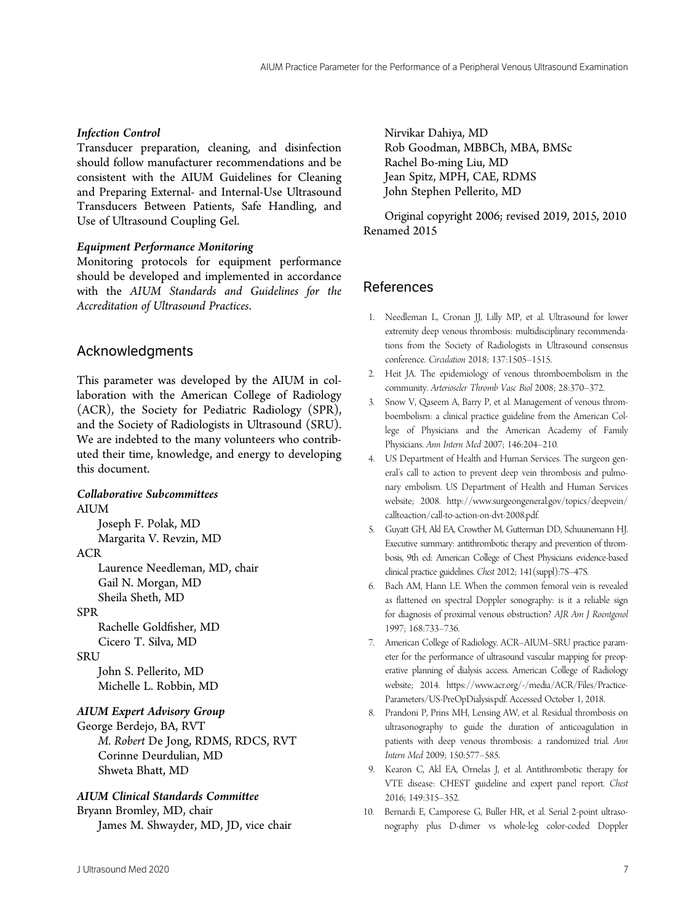#### Infection Control

Transducer preparation, cleaning, and disinfection should follow manufacturer recommendations and be consistent with the AIUM Guidelines for Cleaning and Preparing External- and Internal-Use Ultrasound Transducers Between Patients, Safe Handling, and Use of Ultrasound Coupling Gel.

#### Equipment Performance Monitoring

Monitoring protocols for equipment performance should be developed and implemented in accordance with the AIUM Standards and Guidelines for the Accreditation of Ultrasound Practices.

## Acknowledgments

This parameter was developed by the AIUM in collaboration with the American College of Radiology (ACR), the Society for Pediatric Radiology (SPR), and the Society of Radiologists in Ultrasound (SRU). We are indebted to the many volunteers who contributed their time, knowledge, and energy to developing this document.

#### Collaborative Subcommittees **AIUM**

Joseph F. Polak, MD Margarita V. Revzin, MD

#### ACR

Laurence Needleman, MD, chair Gail N. Morgan, MD Sheila Sheth, MD

#### SPR

Rachelle Goldfisher, MD Cicero T. Silva, MD

#### **SRU**

John S. Pellerito, MD Michelle L. Robbin, MD

#### AIUM Expert Advisory Group

George Berdejo, BA, RVT M. Robert De Jong, RDMS, RDCS, RVT Corinne Deurdulian, MD Shweta Bhatt, MD

#### AIUM Clinical Standards Committee

Bryann Bromley, MD, chair James M. Shwayder, MD, JD, vice chair

Nirvikar Dahiya, MD Rob Goodman, MBBCh, MBA, BMSc Rachel Bo-ming Liu, MD Jean Spitz, MPH, CAE, RDMS John Stephen Pellerito, MD

Original copyright 2006; revised 2019, 2015, 2010 Renamed 2015

## References

- 1. Needleman L, Cronan JJ, Lilly MP, et al. Ultrasound for lower extremity deep venous thrombosis: multidisciplinary recommendations from the Society of Radiologists in Ultrasound consensus conference. Circulation 2018; 137:1505–1515.
- 2. Heit JA. The epidemiology of venous thromboembolism in the community. Arterioscler Thromb Vasc Biol 2008; 28:370–372.
- 3. Snow V, Qaseem A, Barry P, et al. Management of venous thromboembolism: a clinical practice guideline from the American College of Physicians and the American Academy of Family Physicians. Ann Intern Med 2007; 146:204–210.
- 4. US Department of Health and Human Services. The surgeon general's call to action to prevent deep vein thrombosis and pulmonary embolism. US Department of Health and Human Services website; 2008. [http://www.surgeongeneral.gov/topics/deepvein/](http://www.surgeongeneral.gov/topics/deepvein/calltoaction/call-to-) [calltoaction/call-to-](http://www.surgeongeneral.gov/topics/deepvein/calltoaction/call-to-)action-on-dvt-2008.pdf.
- 5. Guyatt GH, Akl EA, Crowther M, Gutterman DD, Schuunemann HJ. Executive summary: antithrombotic therapy and prevention of thrombosis, 9th ed: American College of Chest Physicians evidence-based clinical practice guidelines. Chest 2012; 141(suppl):7S–47S.
- 6. Bach AM, Hann LE. When the common femoral vein is revealed as flattened on spectral Doppler sonography: is it a reliable sign for diagnosis of proximal venous obstruction? AJR Am J Roentgenol 1997; 168:733–736.
- 7. American College of Radiology. ACR–AIUM–SRU practice parameter for the performance of ultrasound vascular mapping for preoperative planning of dialysis access. American College of Radiology website; 2014. [https://www.acr.org/-/media/ACR/Files/Practice-](https://www.acr.org/-/media/ACR/Files/Practice-Parameters/US-PreOpDialysis.pdf)[Parameters/US-PreOpDialysis.pdf](https://www.acr.org/-/media/ACR/Files/Practice-Parameters/US-PreOpDialysis.pdf). Accessed October 1, 2018.
- 8. Prandoni P, Prins MH, Lensing AW, et al. Residual thrombosis on ultrasonography to guide the duration of anticoagulation in patients with deep venous thrombosis: a randomized trial. Ann Intern Med 2009; 150:577–585.
- 9. Kearon C, Akl EA, Ornelas J, et al. Antithrombotic therapy for VTE disease: CHEST guideline and expert panel report. Chest 2016; 149:315–352.
- 10. Bernardi E, Camporese G, Buller HR, et al. Serial 2-point ultrasonography plus D-dimer vs whole-leg color-coded Doppler